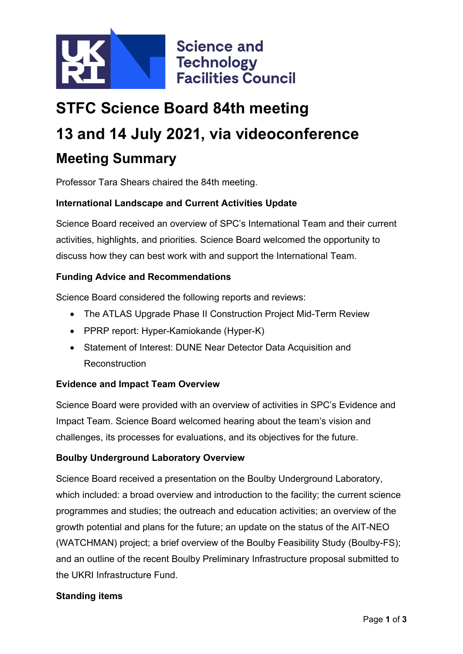

# **STFC Science Board 84th meeting 13 and 14 July 2021, via videoconference Meeting Summary**

Professor Tara Shears chaired the 84th meeting.

## **International Landscape and Current Activities Update**

Science Board received an overview of SPC's International Team and their current activities, highlights, and priorities. Science Board welcomed the opportunity to discuss how they can best work with and support the International Team.

#### **Funding Advice and Recommendations**

Science Board considered the following reports and reviews:

- The ATLAS Upgrade Phase II Construction Project Mid-Term Review
- PPRP report: Hyper-Kamiokande (Hyper-K)
- Statement of Interest: DUNE Near Detector Data Acquisition and Reconstruction

#### **Evidence and Impact Team Overview**

Science Board were provided with an overview of activities in SPC's Evidence and Impact Team. Science Board welcomed hearing about the team's vision and challenges, its processes for evaluations, and its objectives for the future.

#### **Boulby Underground Laboratory Overview**

Science Board received a presentation on the Boulby Underground Laboratory, which included: a broad overview and introduction to the facility; the current science programmes and studies; the outreach and education activities; an overview of the growth potential and plans for the future; an update on the status of the AIT-NEO (WATCHMAN) project; a brief overview of the Boulby Feasibility Study (Boulby-FS); and an outline of the recent Boulby Preliminary Infrastructure proposal submitted to the UKRI Infrastructure Fund.

## **Standing items**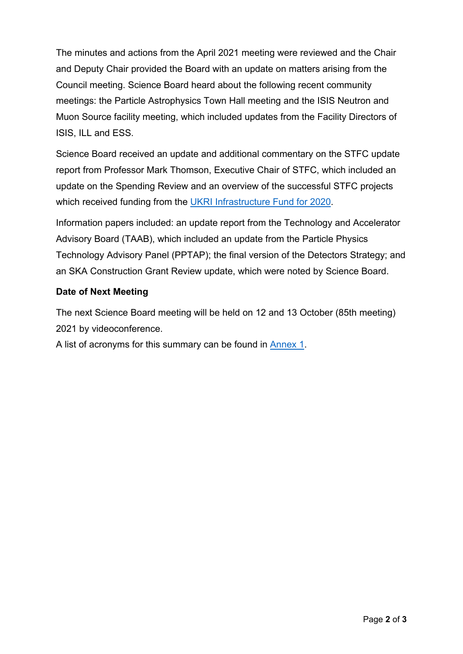The minutes and actions from the April 2021 meeting were reviewed and the Chair and Deputy Chair provided the Board with an update on matters arising from the Council meeting. Science Board heard about the following recent community meetings: the Particle Astrophysics Town Hall meeting and the ISIS Neutron and Muon Source facility meeting, which included updates from the Facility Directors of ISIS, ILL and ESS.

Science Board received an update and additional commentary on the STFC update report from Professor Mark Thomson, Executive Chair of STFC, which included an update on the Spending Review and an overview of the successful STFC projects which received funding from the [UKRI Infrastructure Fund](https://www.ukri.org/news/infrastructure-investments-to-boost-uk-research-and-innovation/) for 2020.

Information papers included: an update report from the Technology and Accelerator Advisory Board (TAAB), which included an update from the Particle Physics Technology Advisory Panel (PPTAP); the final version of the Detectors Strategy; and an SKA Construction Grant Review update, which were noted by Science Board.

# **Date of Next Meeting**

The next Science Board meeting will be held on 12 and 13 October (85th meeting) 2021 by videoconference.

A list of acronyms for this summary can be found in [Annex 1.](#page-2-0)